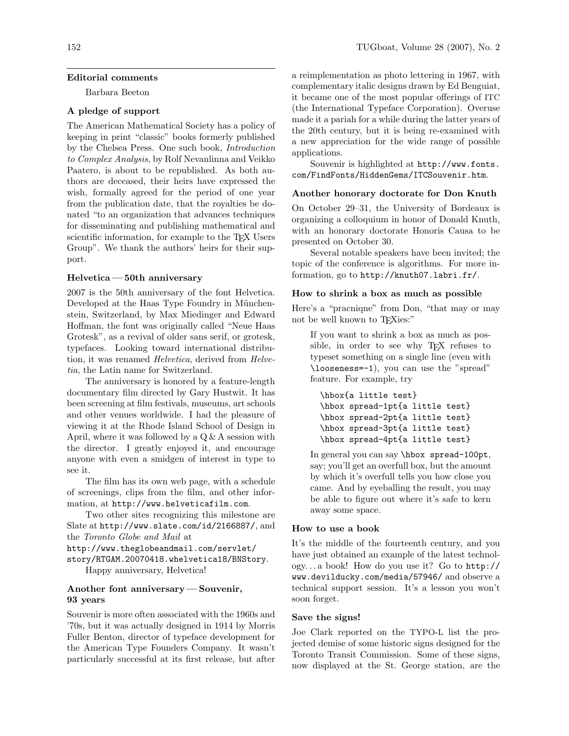### Editorial comments

Barbara Beeton

# A pledge of support

The American Mathematical Society has a policy of keeping in print "classic" books formerly published by the Chelsea Press. One such book, Introduction to Complex Analysis, by Rolf Nevanlinna and Veikko Paatero, is about to be republished. As both authors are deceased, their heirs have expressed the wish, formally agreed for the period of one year from the publication date, that the royalties be donated "to an organization that advances techniques for disseminating and publishing mathematical and scientific information, for example to the T<sub>EX</sub> Users Group". We thank the authors' heirs for their support.

### Helvetica — 50th anniversary

2007 is the 50th anniversary of the font Helvetica. Developed at the Haas Type Foundry in Münchenstein, Switzerland, by Max Miedinger and Edward Hoffman, the font was originally called "Neue Haas Grotesk", as a revival of older sans serif, or grotesk, typefaces. Looking toward international distribution, it was renamed *Helvetica*, derived from *Helve*tia, the Latin name for Switzerland.

The anniversary is honored by a feature-length documentary film directed by Gary Hustwit. It has been screening at film festivals, museums, art schools and other venues worldwide. I had the pleasure of viewing it at the Rhode Island School of Design in April, where it was followed by a  $Q \& A$  session with the director. I greatly enjoyed it, and encourage anyone with even a smidgen of interest in type to see it.

The film has its own web page, with a schedule of screenings, clips from the film, and other information, at http://www.helveticafilm.com.

Two other sites recognizing this milestone are Slate at http://www.slate.com/id/2166887/, and the Toronto Globe and Mail at

http://www.theglobeandmail.com/servlet/ story/RTGAM.20070418.whelvetica18/BNStory. Happy anniversary, Helvetica!

## Another font anniversary — Souvenir, 93 years

Souvenir is more often associated with the 1960s and '70s, but it was actually designed in 1914 by Morris Fuller Benton, director of typeface development for the American Type Founders Company. It wasn't particularly successful at its first release, but after

a reimplementation as photo lettering in 1967, with complementary italic designs drawn by Ed Benguiat, it became one of the most popular offerings of ITC (the International Typeface Corporation). Overuse made it a pariah for a while during the latter years of the 20th century, but it is being re-examined with a new appreciation for the wide range of possible applications.

Souvenir is highlighted at http://www.fonts. com/FindFonts/HiddenGems/ITCSouvenir.htm.

#### Another honorary doctorate for Don Knuth

On October 29–31, the University of Bordeaux is organizing a colloquium in honor of Donald Knuth, with an honorary doctorate Honoris Causa to be presented on October 30.

Several notable speakers have been invited; the topic of the conference is algorithms. For more information, go to http://knuth07.labri.fr/.

#### How to shrink a box as much as possible

Here's a "pracniqne" from Don, "that may or may not be well known to T<sub>F</sub>Xies:"

If you want to shrink a box as much as possible, in order to see why T<sub>EX</sub> refuses to typeset something on a single line (even with \looseness=-1), you can use the "spread" feature. For example, try

\hbox{a little test} \hbox spread-1pt{a little test} \hbox spread-2pt{a little test} \hbox spread-3pt{a little test} \hbox spread-4pt{a little test}

In general you can say \hbox spread-100pt, say; you'll get an overfull box, but the amount by which it's overfull tells you how close you came. And by eyeballing the result, you may be able to figure out where it's safe to kern away some space.

#### How to use a book

It's the middle of the fourteenth century, and you have just obtained an example of the latest technology. . . a book! How do you use it? Go to http:// www.devilducky.com/media/57946/ and observe a technical support session. It's a lesson you won't soon forget.

### Save the signs!

Joe Clark reported on the TYPO-L list the projected demise of some historic signs designed for the Toronto Transit Commission. Some of these signs, now displayed at the St. George station, are the